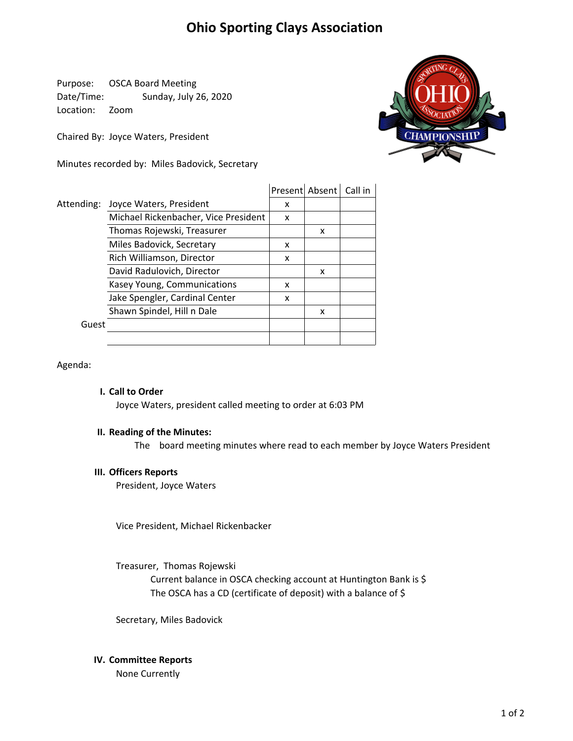# **Ohio Sporting Clays Association**

Purpose: OSCA Board Meeting Date/Time: Sunday, July 26, 2020 Location: Zoom

Chaired By: Joyce Waters, President

Minutes recorded by: Miles Badovick, Secretary



|            |                                      |   | Present Absent   Call in |  |
|------------|--------------------------------------|---|--------------------------|--|
| Attending: | Joyce Waters, President              | x |                          |  |
|            | Michael Rickenbacher, Vice President | x |                          |  |
|            | Thomas Rojewski, Treasurer           |   | x                        |  |
|            | Miles Badovick, Secretary            | x |                          |  |
|            | Rich Williamson, Director            | x |                          |  |
|            | David Radulovich, Director           |   | x                        |  |
|            | Kasey Young, Communications          | x |                          |  |
|            | Jake Spengler, Cardinal Center       | x |                          |  |
|            | Shawn Spindel, Hill n Dale           |   | x                        |  |
| Guest      |                                      |   |                          |  |
|            |                                      |   |                          |  |

Agenda:

## **I. Call to Order**

Joyce Waters, president called meeting to order at 6:03 PM

## **II. Reading of the Minutes:**

The board meeting minutes where read to each member by Joyce Waters President

### **III. Officers Reports**

President, Joyce Waters

Vice President, Michael Rickenbacker

The OSCA has a CD (certificate of deposit) with a balance of \$ Treasurer, Thomas Rojewski Current balance in OSCA checking account at Huntington Bank is \$

Secretary, Miles Badovick

### **IV. Committee Reports**

None Currently